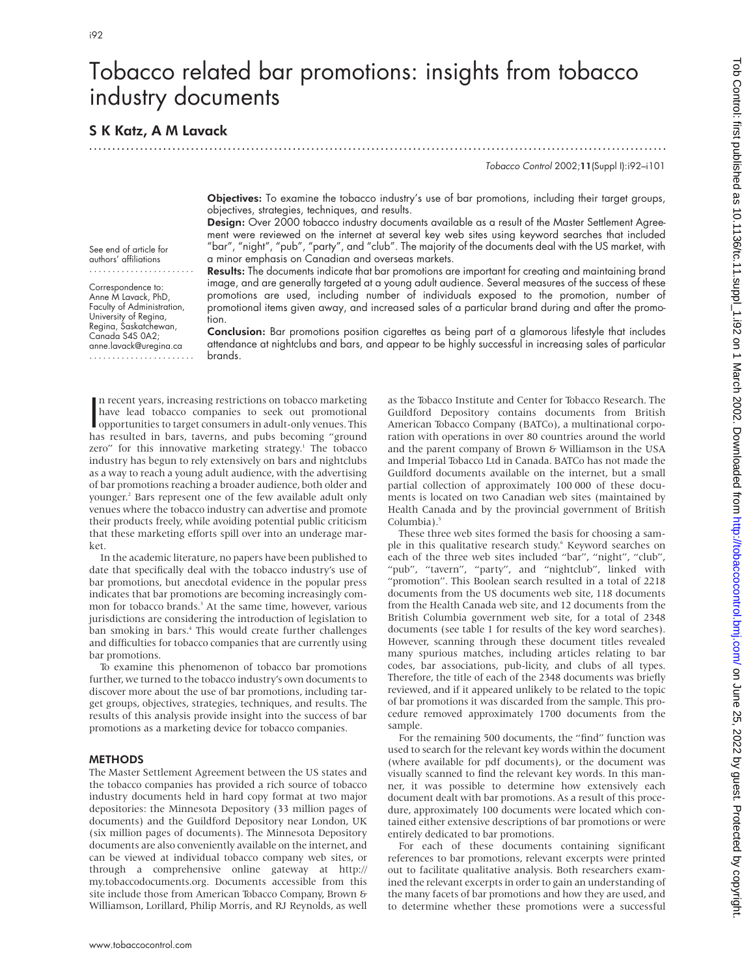# Tobacco related bar promotions: insights from tobacco industry documents

.............................................................................................................................

# S K Katz, A M Lavack

See end of article for authors' affiliations ....................... Correspondence to: Anne M Lavack, PhD, Faculty of Administration, University of Regina, Regina, Saskatchewan, Canada S4S 0A2; anne.lavack@uregina.ca ....................... Tobacco Control 2002;11(Suppl I):i92–i101

Objectives: To examine the tobacco industry's use of bar promotions, including their target groups, objectives, strategies, techniques, and results.

Design: Over 2000 tobacco industry documents available as a result of the Master Settlement Agreement were reviewed on the internet at several key web sites using keyword searches that included "bar", "night", "pub", "party", and "club". The majority of the documents deal with the US market, with a minor emphasis on Canadian and overseas markets.

Results: The documents indicate that bar promotions are important for creating and maintaining brand image, and are generally targeted at a young adult audience. Several measures of the success of these promotions are used, including number of individuals exposed to the promotion, number of promotional items given away, and increased sales of a particular brand during and after the promotion.

Conclusion: Bar promotions position cigarettes as being part of a glamorous lifestyle that includes attendance at nightclubs and bars, and appear to be highly successful in increasing sales of particular brands.

In recent years, increasing restrictions on tobacco marketing<br>have lead tobacco companies to seek out promotional<br>opportunities to target consumers in adult-only venues. This<br>has resulted in hard taxerns, and pubs becoming n recent years, increasing restrictions on tobacco marketing have lead tobacco companies to seek out promotional has resulted in bars, taverns, and pubs becoming "ground zero" for this innovative marketing strategy.<sup>1</sup> The tobacco industry has begun to rely extensively on bars and nightclubs as a way to reach a young adult audience, with the advertising of bar promotions reaching a broader audience, both older and younger.2 Bars represent one of the few available adult only venues where the tobacco industry can advertise and promote their products freely, while avoiding potential public criticism that these marketing efforts spill over into an underage market.

In the academic literature, no papers have been published to date that specifically deal with the tobacco industry's use of bar promotions, but anecdotal evidence in the popular press indicates that bar promotions are becoming increasingly common for tobacco brands.<sup>3</sup> At the same time, however, various jurisdictions are considering the introduction of legislation to ban smoking in bars.<sup>4</sup> This would create further challenges and difficulties for tobacco companies that are currently using bar promotions.

To examine this phenomenon of tobacco bar promotions further, we turned to the tobacco industry's own documents to discover more about the use of bar promotions, including target groups, objectives, strategies, techniques, and results. The results of this analysis provide insight into the success of bar promotions as a marketing device for tobacco companies.

# METHODS

The Master Settlement Agreement between the US states and the tobacco companies has provided a rich source of tobacco industry documents held in hard copy format at two major depositories: the Minnesota Depository (33 million pages of documents) and the Guildford Depository near London, UK (six million pages of documents). The Minnesota Depository documents are also conveniently available on the internet, and can be viewed at individual tobacco company web sites, or through a comprehensive online gateway at http:// my.tobaccodocuments.org. Documents accessible from this site include those from American Tobacco Company, Brown & Williamson, Lorillard, Philip Morris, and RJ Reynolds, as well

as the Tobacco Institute and Center for Tobacco Research. The Guildford Depository contains documents from British American Tobacco Company (BATCo), a multinational corporation with operations in over 80 countries around the world and the parent company of Brown & Williamson in the USA and Imperial Tobacco Ltd in Canada. BATCo has not made the Guildford documents available on the internet, but a small partial collection of approximately 100 000 of these documents is located on two Canadian web sites (maintained by Health Canada and by the provincial government of British Columbia).<sup>5</sup>

These three web sites formed the basis for choosing a sample in this qualitative research study.<sup>6</sup> Keyword searches on each of the three web sites included "bar", "night", "club", "pub", "tavern", "party", and "nightclub", linked with "promotion". This Boolean search resulted in a total of 2218 documents from the US documents web site, 118 documents from the Health Canada web site, and 12 documents from the British Columbia government web site, for a total of 2348 documents (see table 1 for results of the key word searches). However, scanning through these document titles revealed many spurious matches, including articles relating to bar codes, bar associations, pub-licity, and clubs of all types. Therefore, the title of each of the 2348 documents was briefly reviewed, and if it appeared unlikely to be related to the topic of bar promotions it was discarded from the sample. This procedure removed approximately 1700 documents from the sample.

For the remaining 500 documents, the "find" function was used to search for the relevant key words within the document (where available for pdf documents), or the document was visually scanned to find the relevant key words. In this manner, it was possible to determine how extensively each document dealt with bar promotions. As a result of this procedure, approximately 100 documents were located which contained either extensive descriptions of bar promotions or were entirely dedicated to bar promotions.

For each of these documents containing significant references to bar promotions, relevant excerpts were printed out to facilitate qualitative analysis. Both researchers examined the relevant excerpts in order to gain an understanding of the many facets of bar promotions and how they are used, and to determine whether these promotions were a successful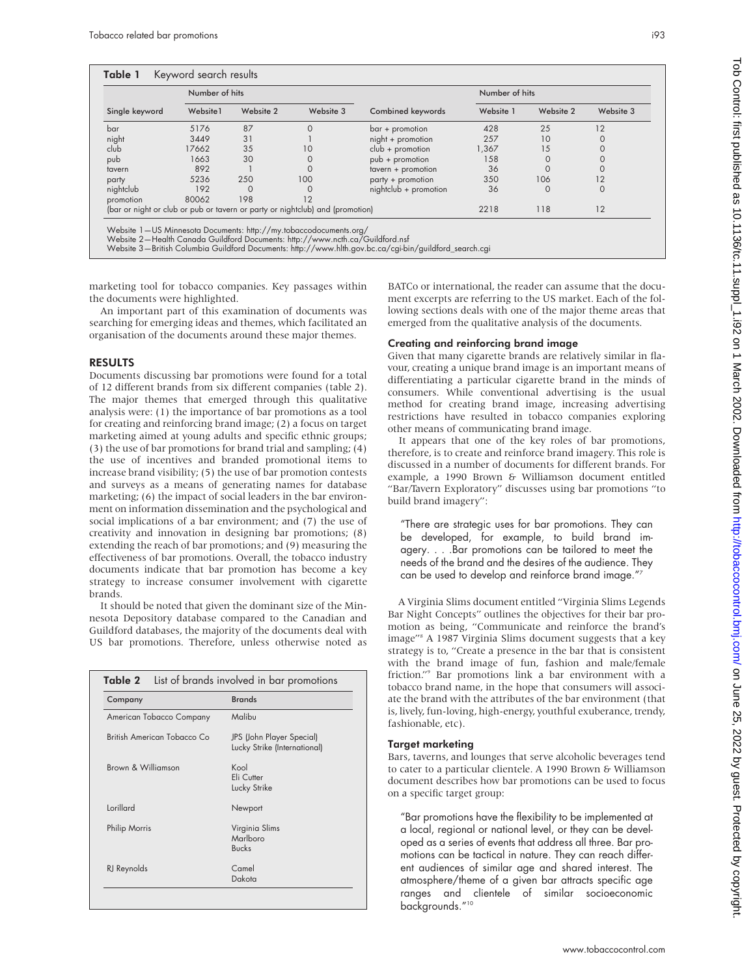| Single keyword | Number of hits |           |                                                                               |                       | Number of hits |           |           |
|----------------|----------------|-----------|-------------------------------------------------------------------------------|-----------------------|----------------|-----------|-----------|
|                | Website1       | Website 2 | Website 3                                                                     | Combined keywords     | Website 1      | Website 2 | Website 3 |
| bar            | 5176           | 87        | $\Omega$                                                                      | $bar +$ promotion     | 428            | 25        | 12        |
| night          | 3449           | 31        |                                                                               | night + promotion     | 257            | 10        |           |
| club           | 17662          | 35        | 10                                                                            | $club +$ promotion    | 1,367          | 15        |           |
| pub            | 1663           | 30        | 0                                                                             | pub + promotion       | 158            |           |           |
| tavern         | 892            |           |                                                                               | tavern + promotion    | 36             |           |           |
| party          | 5236           | 250       | 100                                                                           | party + promotion     | 350            | 106       | 12        |
| nightclub      | 192            | 0         | 0                                                                             | nightclub + promotion | 36             | 0         | 0         |
| promotion      | 80062          | 198       | 12                                                                            |                       |                |           |           |
|                |                |           | (bar or night or club or pub or tavern or party or nightclub) and (promotion) |                       | 2218           | 118       | 12        |

Website 1—US Minnesota Documents: http://my.tobaccodocuments.org/ Website 2—Health Canada Guildford Documents: http://www.ncth.ca/Guildford.nsf

Website 3—British Columbia Guildford Documents: http://www.hlth.gov.bc.ca/cgi-bin/guildford\_search.cgi

marketing tool for tobacco companies. Key passages within the documents were highlighted.

An important part of this examination of documents was searching for emerging ideas and themes, which facilitated an organisation of the documents around these major themes.

#### RESULTS

Documents discussing bar promotions were found for a total of 12 different brands from six different companies (table 2). The major themes that emerged through this qualitative analysis were: (1) the importance of bar promotions as a tool for creating and reinforcing brand image; (2) a focus on target marketing aimed at young adults and specific ethnic groups; (3) the use of bar promotions for brand trial and sampling; (4) the use of incentives and branded promotional items to increase brand visibility; (5) the use of bar promotion contests and surveys as a means of generating names for database marketing; (6) the impact of social leaders in the bar environment on information dissemination and the psychological and social implications of a bar environment; and (7) the use of creativity and innovation in designing bar promotions; (8) extending the reach of bar promotions; and (9) measuring the effectiveness of bar promotions. Overall, the tobacco industry documents indicate that bar promotion has become a key strategy to increase consumer involvement with cigarette brands.

It should be noted that given the dominant size of the Minnesota Depository database compared to the Canadian and Guildford databases, the majority of the documents deal with US bar promotions. Therefore, unless otherwise noted as

| Company                     | <b>Brands</b><br>Malibu                                   |  |
|-----------------------------|-----------------------------------------------------------|--|
| American Tobacco Company    |                                                           |  |
| British American Tobacco Co | JPS (John Player Special)<br>Lucky Strike (International) |  |
| Brown & Williamson          | Kool<br>Eli Cutter<br>Lucky Strike                        |  |
| <b>Lorillard</b>            | Newport                                                   |  |
| Philip Morris               | Virginia Slims<br>Marlboro<br><b>Bucks</b>                |  |
| RJ Reynolds                 | $C$ amel<br>Dakota                                        |  |

BATCo or international, the reader can assume that the document excerpts are referring to the US market. Each of the following sections deals with one of the major theme areas that emerged from the qualitative analysis of the documents.

#### Creating and reinforcing brand image

Given that many cigarette brands are relatively similar in flavour, creating a unique brand image is an important means of differentiating a particular cigarette brand in the minds of consumers. While conventional advertising is the usual method for creating brand image, increasing advertising restrictions have resulted in tobacco companies exploring other means of communicating brand image.

It appears that one of the key roles of bar promotions, therefore, is to create and reinforce brand imagery. This role is discussed in a number of documents for different brands. For example, a 1990 Brown & Williamson document entitled "Bar/Tavern Exploratory" discusses using bar promotions "to build brand imagery":

"There are strategic uses for bar promotions. They can be developed, for example, to build brand imagery. . . .Bar promotions can be tailored to meet the needs of the brand and the desires of the audience. They can be used to develop and reinforce brand image."7

A Virginia Slims document entitled "Virginia Slims Legends Bar Night Concepts" outlines the objectives for their bar promotion as being, "Communicate and reinforce the brand's image"8 A 1987 Virginia Slims document suggests that a key strategy is to, "Create a presence in the bar that is consistent with the brand image of fun, fashion and male/female friction."9 Bar promotions link a bar environment with a tobacco brand name, in the hope that consumers will associate the brand with the attributes of the bar environment (that is, lively, fun-loving, high-energy, youthful exuberance, trendy, fashionable, etc).

### Target marketing

Bars, taverns, and lounges that serve alcoholic beverages tend to cater to a particular clientele. A 1990 Brown & Williamson document describes how bar promotions can be used to focus on a specific target group:

"Bar promotions have the flexibility to be implemented at a local, regional or national level, or they can be developed as a series of events that address all three. Bar promotions can be tactical in nature. They can reach different audiences of similar age and shared interest. The atmosphere/theme of a given bar attracts specific age ranges and clientele of similar socioeconomic backgrounds."<sup>10</sup>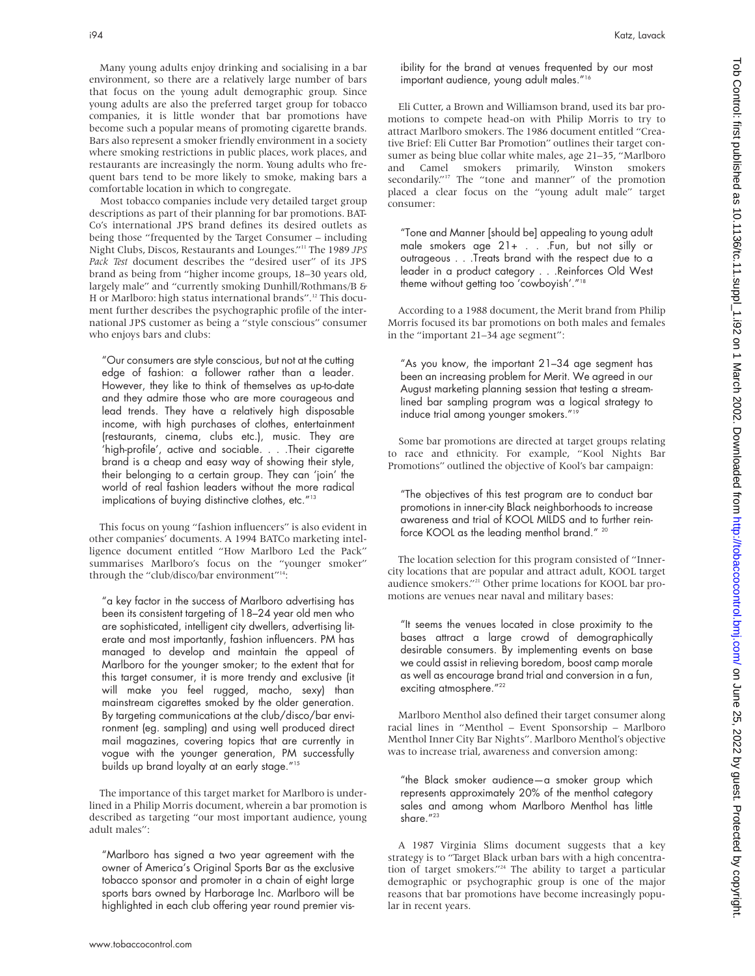i94 Katz, Lavack

Many young adults enjoy drinking and socialising in a bar environment, so there are a relatively large number of bars that focus on the young adult demographic group. Since young adults are also the preferred target group for tobacco companies, it is little wonder that bar promotions have become such a popular means of promoting cigarette brands. Bars also represent a smoker friendly environment in a society where smoking restrictions in public places, work places, and restaurants are increasingly the norm. Young adults who frequent bars tend to be more likely to smoke, making bars a comfortable location in which to congregate.

Most tobacco companies include very detailed target group descriptions as part of their planning for bar promotions. BAT-Co's international JPS brand defines its desired outlets as being those "frequented by the Target Consumer – including Night Clubs, Discos, Restaurants and Lounges."11 The 1989 *JPS Pack Test* document describes the "desired user" of its JPS brand as being from "higher income groups, 18–30 years old, largely male" and "currently smoking Dunhill/Rothmans/B & H or Marlboro: high status international brands".<sup>12</sup> This document further describes the psychographic profile of the international JPS customer as being a "style conscious" consumer who enjoys bars and clubs:

"Our consumers are style conscious, but not at the cutting edge of fashion: a follower rather than a leader. However, they like to think of themselves as up-to-date and they admire those who are more courageous and lead trends. They have a relatively high disposable income, with high purchases of clothes, entertainment (restaurants, cinema, clubs etc.), music. They are 'high-profile', active and sociable. . . . Their cigarette brand is a cheap and easy way of showing their style, their belonging to a certain group. They can 'join' the world of real fashion leaders without the more radical implications of buying distinctive clothes, etc."13

This focus on young "fashion influencers" is also evident in other companies' documents. A 1994 BATCo marketing intelligence document entitled "How Marlboro Led the Pack" summarises Marlboro's focus on the "younger smoker" through the "club/disco/bar environment"<sup>14</sup>:

"a key factor in the success of Marlboro advertising has been its consistent targeting of 18–24 year old men who are sophisticated, intelligent city dwellers, advertising literate and most importantly, fashion influencers. PM has managed to develop and maintain the appeal of Marlboro for the younger smoker; to the extent that for this target consumer, it is more trendy and exclusive (it will make you feel rugged, macho, sexy) than mainstream cigarettes smoked by the older generation. By targeting communications at the club/disco/bar environment (eg. sampling) and using well produced direct mail magazines, covering topics that are currently in vogue with the younger generation, PM successfully builds up brand loyalty at an early stage."15

The importance of this target market for Marlboro is underlined in a Philip Morris document, wherein a bar promotion is described as targeting "our most important audience, young adult males":

"Marlboro has signed a two year agreement with the owner of America's Original Sports Bar as the exclusive tobacco sponsor and promoter in a chain of eight large sports bars owned by Harborage Inc. Marlboro will be highlighted in each club offering year round premier visibility for the brand at venues frequented by our most important audience, young adult males."16

Eli Cutter, a Brown and Williamson brand, used its bar promotions to compete head-on with Philip Morris to try to attract Marlboro smokers. The 1986 document entitled "Creative Brief: Eli Cutter Bar Promotion" outlines their target consumer as being blue collar white males, age 21–35, "Marlboro and Camel smokers primarily, Winston smokers secondarily."<sup>17</sup> The "tone and manner" of the promotion placed a clear focus on the "young adult male" target consumer:

"Tone and Manner [should be] appealing to young adult male smokers age 21+ . . .Fun, but not silly or outrageous . . .Treats brand with the respect due to a leader in a product category . . .Reinforces Old West theme without getting too 'cowboyish'."18

According to a 1988 document, the Merit brand from Philip Morris focused its bar promotions on both males and females in the "important 21–34 age segment":

"As you know, the important 21–34 age segment has been an increasing problem for Merit. We agreed in our August marketing planning session that testing a streamlined bar sampling program was a logical strategy to induce trial among younger smokers."19

Some bar promotions are directed at target groups relating to race and ethnicity. For example, "Kool Nights Bar Promotions" outlined the objective of Kool's bar campaign:

"The objectives of this test program are to conduct bar promotions in inner-city Black neighborhoods to increase awareness and trial of KOOL MILDS and to further reinforce KOOL as the leading menthol brand." <sup>20</sup>

The location selection for this program consisted of "Innercity locations that are popular and attract adult, KOOL target audience smokers."21 Other prime locations for KOOL bar promotions are venues near naval and military bases:

"It seems the venues located in close proximity to the bases attract a large crowd of demographically desirable consumers. By implementing events on base we could assist in relieving boredom, boost camp morale as well as encourage brand trial and conversion in a fun, exciting atmosphere."<sup>22</sup>

Marlboro Menthol also defined their target consumer along racial lines in "Menthol – Event Sponsorship – Marlboro Menthol Inner City Bar Nights". Marlboro Menthol's objective was to increase trial, awareness and conversion among:

"the Black smoker audience—a smoker group which represents approximately 20% of the menthol category sales and among whom Marlboro Menthol has little share."23

A 1987 Virginia Slims document suggests that a key strategy is to "Target Black urban bars with a high concentration of target smokers."24 The ability to target a particular demographic or psychographic group is one of the major reasons that bar promotions have become increasingly popular in recent years.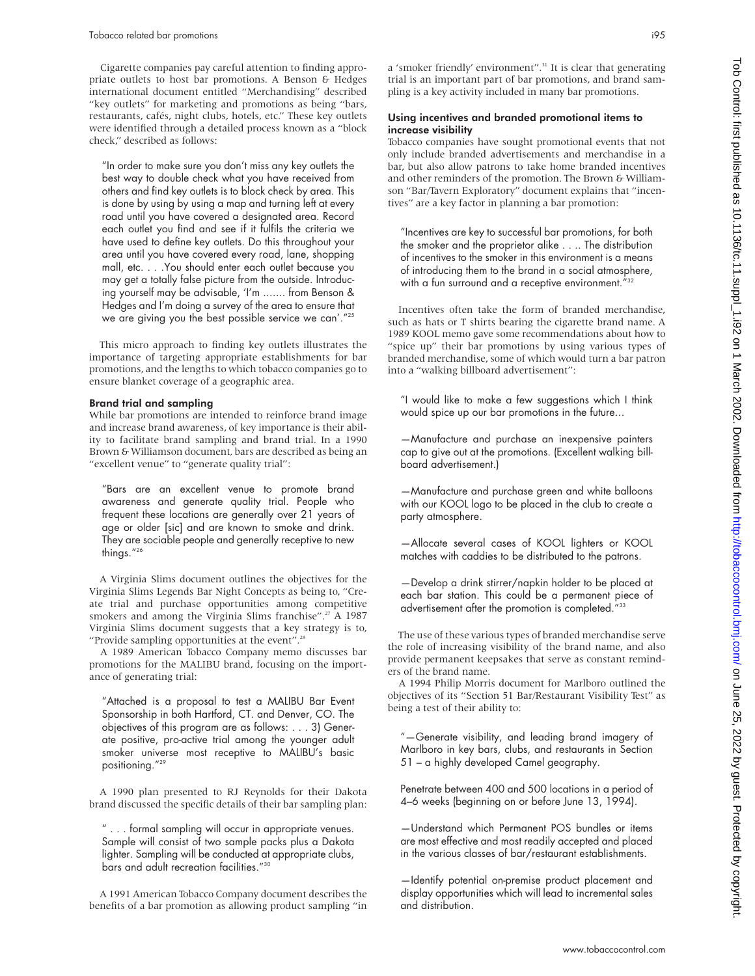Cigarette companies pay careful attention to finding appropriate outlets to host bar promotions. A Benson & Hedges international document entitled "Merchandising" described "key outlets" for marketing and promotions as being "bars, restaurants, cafés, night clubs, hotels, etc." These key outlets were identified through a detailed process known as a "block check," described as follows:

"In order to make sure you don't miss any key outlets the best way to double check what you have received from others and find key outlets is to block check by area. This is done by using by using a map and turning left at every road until you have covered a designated area. Record each outlet you find and see if it fulfils the criteria we have used to define key outlets. Do this throughout your area until you have covered every road, lane, shopping mall, etc. . . .You should enter each outlet because you may get a totally false picture from the outside. Introducing yourself may be advisable, 'I'm ....... from Benson & Hedges and I'm doing a survey of the area to ensure that we are giving you the best possible service we can'."25

This micro approach to finding key outlets illustrates the importance of targeting appropriate establishments for bar promotions, and the lengths to which tobacco companies go to ensure blanket coverage of a geographic area.

#### Brand trial and sampling

While bar promotions are intended to reinforce brand image and increase brand awareness, of key importance is their ability to facilitate brand sampling and brand trial. In a 1990 Brown & Williamson document*,* bars are described as being an "excellent venue" to "generate quality trial":

"Bars are an excellent venue to promote brand awareness and generate quality trial. People who frequent these locations are generally over 21 years of age or older [sic] and are known to smoke and drink. They are sociable people and generally receptive to new things."26

A Virginia Slims document outlines the objectives for the Virginia Slims Legends Bar Night Concepts as being to, "Create trial and purchase opportunities among competitive smokers and among the Virginia Slims franchise".<sup>27</sup> A 1987 Virginia Slims document suggests that a key strategy is to, "Provide sampling opportunities at the event".28

A 1989 American Tobacco Company memo discusses bar promotions for the MALIBU brand, focusing on the importance of generating trial:

"Attached is a proposal to test a MALIBU Bar Event Sponsorship in both Hartford, CT. and Denver, CO. The objectives of this program are as follows: . . . 3) Generate positive, pro-active trial among the younger adult smoker universe most receptive to MALIBU's basic positioning."29

A 1990 plan presented to RJ Reynolds for their Dakota brand discussed the specific details of their bar sampling plan:

" . . . formal sampling will occur in appropriate venues. Sample will consist of two sample packs plus a Dakota lighter. Sampling will be conducted at appropriate clubs, bars and adult recreation facilities."30

A 1991 American Tobacco Company document describes the benefits of a bar promotion as allowing product sampling "in a 'smoker friendly' environment".<sup>31</sup> It is clear that generating trial is an important part of bar promotions, and brand sampling is a key activity included in many bar promotions.

#### Using incentives and branded promotional items to increase visibility

Tobacco companies have sought promotional events that not only include branded advertisements and merchandise in a bar, but also allow patrons to take home branded incentives and other reminders of the promotion. The Brown & Williamson "Bar/Tavern Exploratory" document explains that "incentives" are a key factor in planning a bar promotion:

"Incentives are key to successful bar promotions, for both the smoker and the proprietor alike . . .. The distribution of incentives to the smoker in this environment is a means of introducing them to the brand in a social atmosphere, with a fun surround and a receptive environment."32

Incentives often take the form of branded merchandise, such as hats or T shirts bearing the cigarette brand name. A 1989 KOOL memo gave some recommendations about how to "spice up" their bar promotions by using various types of branded merchandise, some of which would turn a bar patron into a "walking billboard advertisement":

"I would like to make a few suggestions which I think would spice up our bar promotions in the future...

—Manufacture and purchase an inexpensive painters cap to give out at the promotions. (Excellent walking billboard advertisement.)

—Manufacture and purchase green and white balloons with our KOOL logo to be placed in the club to create a party atmosphere.

—Allocate several cases of KOOL lighters or KOOL matches with caddies to be distributed to the patrons.

—Develop a drink stirrer/napkin holder to be placed at each bar station. This could be a permanent piece of advertisement after the promotion is completed."33

The use of these various types of branded merchandise serve the role of increasing visibility of the brand name, and also provide permanent keepsakes that serve as constant reminders of the brand name.

A 1994 Philip Morris document for Marlboro outlined the objectives of its "Section 51 Bar/Restaurant Visibility Test" as being a test of their ability to:

"—Generate visibility, and leading brand imagery of Marlboro in key bars, clubs, and restaurants in Section 51 – a highly developed Camel geography.

Penetrate between 400 and 500 locations in a period of 4–6 weeks (beginning on or before June 13, 1994).

—Understand which Permanent POS bundles or items are most effective and most readily accepted and placed in the various classes of bar/restaurant establishments.

—Identify potential on-premise product placement and display opportunities which will lead to incremental sales and distribution.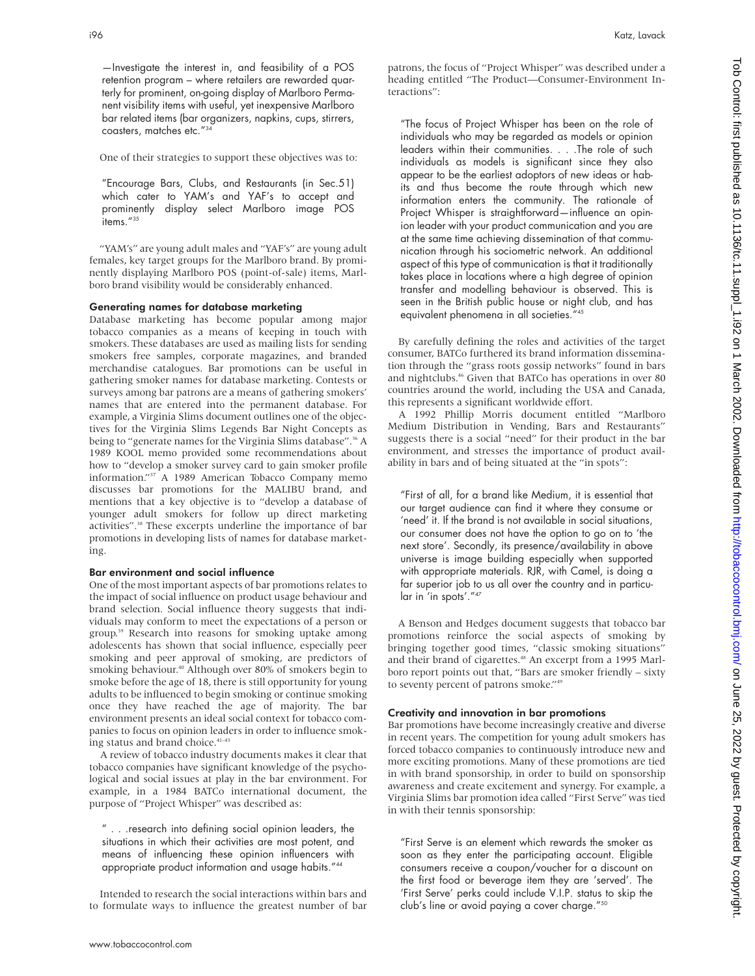—Investigate the interest in, and feasibility of a POS retention program – where retailers are rewarded quarterly for prominent, on-going display of Marlboro Permanent visibility items with useful, yet inexpensive Marlboro bar related items (bar organizers, napkins, cups, stirrers, coasters, matches etc."34

One of their strategies to support these objectives was to:

"Encourage Bars, Clubs, and Restaurants (in Sec.51) which cater to YAM's and YAF's to accept and prominently display select Marlboro image POS items."<sup>35</sup>

"YAM's" are young adult males and "YAF's" are young adult females, key target groups for the Marlboro brand. By prominently displaying Marlboro POS (point-of-sale) items, Marlboro brand visibility would be considerably enhanced.

#### Generating names for database marketing

Database marketing has become popular among major tobacco companies as a means of keeping in touch with smokers. These databases are used as mailing lists for sending smokers free samples, corporate magazines, and branded merchandise catalogues. Bar promotions can be useful in gathering smoker names for database marketing. Contests or surveys among bar patrons are a means of gathering smokers' names that are entered into the permanent database. For example, a Virginia Slims document outlines one of the objectives for the Virginia Slims Legends Bar Night Concepts as being to "generate names for the Virginia Slims database".<sup>36</sup> A 1989 KOOL memo provided some recommendations about how to "develop a smoker survey card to gain smoker profile information."37 A 1989 American Tobacco Company memo discusses bar promotions for the MALIBU brand, and mentions that a key objective is to "develop a database of younger adult smokers for follow up direct marketing activities".<sup>38</sup> These excerpts underline the importance of bar promotions in developing lists of names for database marketing.

#### Bar environment and social influence

One of the most important aspects of bar promotions relates to the impact of social influence on product usage behaviour and brand selection. Social influence theory suggests that individuals may conform to meet the expectations of a person or group.39 Research into reasons for smoking uptake among adolescents has shown that social influence, especially peer smoking and peer approval of smoking, are predictors of smoking behaviour.<sup>40</sup> Although over 80% of smokers begin to smoke before the age of 18, there is still opportunity for young adults to be influenced to begin smoking or continue smoking once they have reached the age of majority. The bar environment presents an ideal social context for tobacco companies to focus on opinion leaders in order to influence smoking status and brand choice.<sup>41-43</sup>

A review of tobacco industry documents makes it clear that tobacco companies have significant knowledge of the psychological and social issues at play in the bar environment. For example, in a 1984 BATCo international document, the purpose of "Project Whisper" was described as:

" . . .research into defining social opinion leaders, the situations in which their activities are most potent, and means of influencing these opinion influencers with appropriate product information and usage habits."44

Intended to research the social interactions within bars and to formulate ways to influence the greatest number of bar

patrons, the focus of "Project Whisper" was described under a heading entitled "The Product—Consumer-Environment Interactions":

"The focus of Project Whisper has been on the role of individuals who may be regarded as models or opinion leaders within their communities. . . .The role of such individuals as models is significant since they also appear to be the earliest adoptors of new ideas or habits and thus become the route through which new information enters the community. The rationale of Project Whisper is straightforward—influence an opinion leader with your product communication and you are at the same time achieving dissemination of that communication through his sociometric network. An additional aspect of this type of communication is that it traditionally takes place in locations where a high degree of opinion transfer and modelling behaviour is observed. This is seen in the British public house or night club, and has equivalent phenomena in all societies."45

By carefully defining the roles and activities of the target consumer, BATCo furthered its brand information dissemination through the "grass roots gossip networks" found in bars and nightclubs.<sup>46</sup> Given that BATCo has operations in over 80 countries around the world, including the USA and Canada, this represents a significant worldwide effort.

A 1992 Phillip Morris document entitled "Marlboro Medium Distribution in Vending, Bars and Restaurants" suggests there is a social "need" for their product in the bar environment, and stresses the importance of product availability in bars and of being situated at the "in spots":

"First of all, for a brand like Medium, it is essential that our target audience can find it where they consume or 'need' it. If the brand is not available in social situations, our consumer does not have the option to go on to 'the next store'. Secondly, its presence/availability in above universe is image building especially when supported with appropriate materials. RJR, with Camel, is doing a far superior job to us all over the country and in particular in 'in spots'."47

A Benson and Hedges document suggests that tobacco bar promotions reinforce the social aspects of smoking by bringing together good times, "classic smoking situations" and their brand of cigarettes.<sup>48</sup> An excerpt from a 1995 Marlboro report points out that, "Bars are smoker friendly – sixty to seventy percent of patrons smoke."49

#### Creativity and innovation in bar promotions

Bar promotions have become increasingly creative and diverse in recent years. The competition for young adult smokers has forced tobacco companies to continuously introduce new and more exciting promotions. Many of these promotions are tied in with brand sponsorship, in order to build on sponsorship awareness and create excitement and synergy. For example, a Virginia Slims bar promotion idea called "First Serve" was tied in with their tennis sponsorship:

"First Serve is an element which rewards the smoker as soon as they enter the participating account. Eligible consumers receive a coupon/voucher for a discount on the first food or beverage item they are 'served'. The 'First Serve' perks could include V.I.P. status to skip the club's line or avoid paying a cover charge."50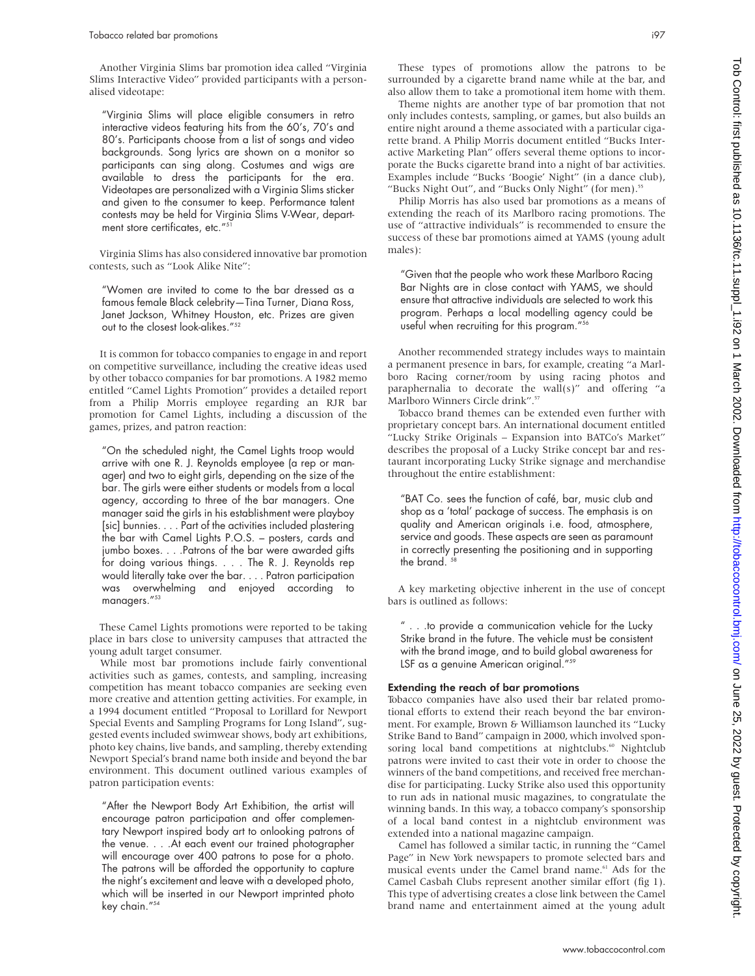Another Virginia Slims bar promotion idea called "Virginia Slims Interactive Video" provided participants with a personalised videotape:

"Virginia Slims will place eligible consumers in retro interactive videos featuring hits from the 60's, 70's and 80's. Participants choose from a list of songs and video backgrounds. Song lyrics are shown on a monitor so participants can sing along. Costumes and wigs are available to dress the participants for the era. Videotapes are personalized with a Virginia Slims sticker and given to the consumer to keep. Performance talent contests may be held for Virginia Slims V-Wear, department store certificates, etc."5

Virginia Slims has also considered innovative bar promotion contests, such as "Look Alike Nite":

"Women are invited to come to the bar dressed as a famous female Black celebrity—Tina Turner, Diana Ross, Janet Jackson, Whitney Houston, etc. Prizes are given out to the closest look-alikes."52

It is common for tobacco companies to engage in and report on competitive surveillance, including the creative ideas used by other tobacco companies for bar promotions. A 1982 memo entitled "Camel Lights Promotion" provides a detailed report from a Philip Morris employee regarding an RJR bar promotion for Camel Lights, including a discussion of the games, prizes, and patron reaction:

"On the scheduled night, the Camel Lights troop would arrive with one R. J. Reynolds employee (a rep or manager) and two to eight girls, depending on the size of the bar. The girls were either students or models from a local agency, according to three of the bar managers. One manager said the girls in his establishment were playboy [sic] bunnies.... Part of the activities included plastering the bar with Camel Lights P.O.S. – posters, cards and jumbo boxes. . . . Patrons of the bar were awarded gifts for doing various things. . . . The R. J. Reynolds rep would literally take over the bar.... Patron participation was overwhelming and enjoyed according to managers."<sup>53</sup>

These Camel Lights promotions were reported to be taking place in bars close to university campuses that attracted the young adult target consumer.

While most bar promotions include fairly conventional activities such as games, contests, and sampling, increasing competition has meant tobacco companies are seeking even more creative and attention getting activities. For example, in a 1994 document entitled "Proposal to Lorillard for Newport Special Events and Sampling Programs for Long Island", suggested events included swimwear shows, body art exhibitions, photo key chains, live bands, and sampling, thereby extending Newport Special's brand name both inside and beyond the bar environment. This document outlined various examples of patron participation events:

"After the Newport Body Art Exhibition, the artist will encourage patron participation and offer complementary Newport inspired body art to onlooking patrons of the venue. . . .At each event our trained photographer will encourage over 400 patrons to pose for a photo. The patrons will be afforded the opportunity to capture the night's excitement and leave with a developed photo, which will be inserted in our Newport imprinted photo key chain."<sup>54</sup>

These types of promotions allow the patrons to be surrounded by a cigarette brand name while at the bar, and also allow them to take a promotional item home with them.

Theme nights are another type of bar promotion that not only includes contests, sampling, or games, but also builds an entire night around a theme associated with a particular cigarette brand. A Philip Morris document entitled "Bucks Interactive Marketing Plan" offers several theme options to incorporate the Bucks cigarette brand into a night of bar activities. Examples include "Bucks 'Boogie' Night" (in a dance club), "Bucks Night Out", and "Bucks Only Night" (for men).<sup>51</sup>

Philip Morris has also used bar promotions as a means of extending the reach of its Marlboro racing promotions. The use of "attractive individuals" is recommended to ensure the success of these bar promotions aimed at YAMS (young adult males):

"Given that the people who work these Marlboro Racing Bar Nights are in close contact with YAMS, we should ensure that attractive individuals are selected to work this program. Perhaps a local modelling agency could be useful when recruiting for this program."56

Another recommended strategy includes ways to maintain a permanent presence in bars, for example, creating "a Marlboro Racing corner/room by using racing photos and paraphernalia to decorate the wall(s)" and offering "a Marlboro Winners Circle drink".57

Tobacco brand themes can be extended even further with proprietary concept bars. An international document entitled "Lucky Strike Originals – Expansion into BATCo's Market" describes the proposal of a Lucky Strike concept bar and restaurant incorporating Lucky Strike signage and merchandise throughout the entire establishment:

"BAT Co. sees the function of café, bar, music club and shop as a 'total' package of success. The emphasis is on quality and American originals i.e. food, atmosphere, service and goods. These aspects are seen as paramount in correctly presenting the positioning and in supporting the brand.<sup>5</sup>

A key marketing objective inherent in the use of concept bars is outlined as follows:

" . . .to provide a communication vehicle for the Lucky Strike brand in the future. The vehicle must be consistent with the brand image, and to build global awareness for LSF as a genuine American original."<sup>59</sup>

# Extending the reach of bar promotions

Tobacco companies have also used their bar related promotional efforts to extend their reach beyond the bar environment. For example, Brown & Williamson launched its "Lucky Strike Band to Band" campaign in 2000, which involved sponsoring local band competitions at nightclubs.<sup>60</sup> Nightclub patrons were invited to cast their vote in order to choose the winners of the band competitions, and received free merchandise for participating. Lucky Strike also used this opportunity to run ads in national music magazines, to congratulate the winning bands. In this way, a tobacco company's sponsorship of a local band contest in a nightclub environment was extended into a national magazine campaign.

Camel has followed a similar tactic, in running the "Camel Page" in New York newspapers to promote selected bars and musical events under the Camel brand name.<sup>61</sup> Ads for the Camel Casbah Clubs represent another similar effort (fig 1). This type of advertising creates a close link between the Camel brand name and entertainment aimed at the young adult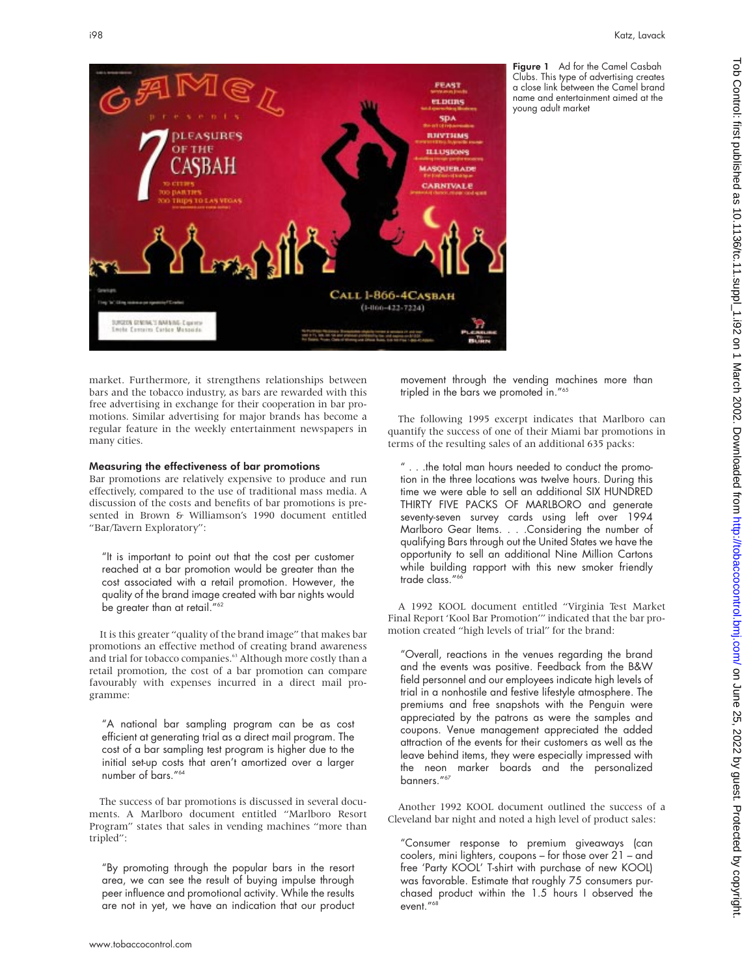

Figure 1 Ad for the Camel Casbah Clubs. This type of advertising creates a close link between the Camel brand name and entertainment aimed at the young adult market

market. Furthermore, it strengthens relationships between bars and the tobacco industry, as bars are rewarded with this free advertising in exchange for their cooperation in bar promotions. Similar advertising for major brands has become a regular feature in the weekly entertainment newspapers in many cities.

#### Measuring the effectiveness of bar promotions

Bar promotions are relatively expensive to produce and run effectively, compared to the use of traditional mass media. A discussion of the costs and benefits of bar promotions is presented in Brown & Williamson's 1990 document entitled "Bar/Tavern Exploratory":

"It is important to point out that the cost per customer reached at a bar promotion would be greater than the cost associated with a retail promotion. However, the quality of the brand image created with bar nights would be greater than at retail."<sup>62</sup>

It is this greater "quality of the brand image" that makes bar promotions an effective method of creating brand awareness and trial for tobacco companies.<sup>63</sup> Although more costly than a retail promotion, the cost of a bar promotion can compare favourably with expenses incurred in a direct mail programme:

"A national bar sampling program can be as cost efficient at generating trial as a direct mail program. The cost of a bar sampling test program is higher due to the initial set-up costs that aren't amortized over a larger number of bars."<sup>64</sup>

The success of bar promotions is discussed in several documents. A Marlboro document entitled "Marlboro Resort Program" states that sales in vending machines "more than tripled":

"By promoting through the popular bars in the resort area, we can see the result of buying impulse through peer influence and promotional activity. While the results are not in yet, we have an indication that our product movement through the vending machines more than tripled in the bars we promoted in."65

The following 1995 excerpt indicates that Marlboro can quantify the success of one of their Miami bar promotions in terms of the resulting sales of an additional 635 packs:

" . . .the total man hours needed to conduct the promotion in the three locations was twelve hours. During this time we were able to sell an additional SIX HUNDRED THIRTY FIVE PACKS OF MARLBORO and generate seventy-seven survey cards using left over 1994 Marlboro Gear Items. . . .Considering the number of qualifying Bars through out the United States we have the opportunity to sell an additional Nine Million Cartons while building rapport with this new smoker friendly trade class."<sup>6</sup>

A 1992 KOOL document entitled "Virginia Test Market Final Report 'Kool Bar Promotion'" indicated that the bar promotion created "high levels of trial" for the brand:

"Overall, reactions in the venues regarding the brand and the events was positive. Feedback from the B&W field personnel and our employees indicate high levels of trial in a nonhostile and festive lifestyle atmosphere. The premiums and free snapshots with the Penguin were appreciated by the patrons as were the samples and coupons. Venue management appreciated the added attraction of the events for their customers as well as the leave behind items, they were especially impressed with the neon marker boards and the personalized banners."<sup>67</sup>

Another 1992 KOOL document outlined the success of a Cleveland bar night and noted a high level of product sales:

"Consumer response to premium giveaways (can coolers, mini lighters, coupons – for those over 21 – and free 'Party KOOL' T-shirt with purchase of new KOOL) was favorable. Estimate that roughly 75 consumers purchased product within the 1.5 hours I observed the event."<sup>68</sup>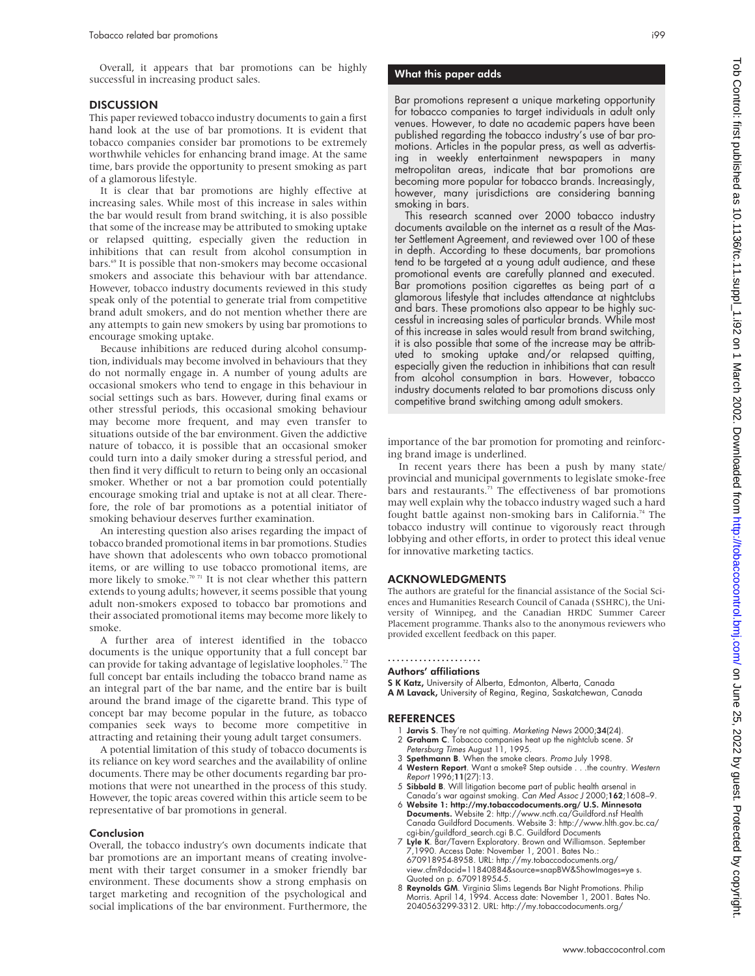Overall, it appears that bar promotions can be highly successful in increasing product sales.

#### **DISCUSSION**

This paper reviewed tobacco industry documents to gain a first hand look at the use of bar promotions. It is evident that tobacco companies consider bar promotions to be extremely worthwhile vehicles for enhancing brand image. At the same time, bars provide the opportunity to present smoking as part of a glamorous lifestyle.

It is clear that bar promotions are highly effective at increasing sales. While most of this increase in sales within the bar would result from brand switching, it is also possible that some of the increase may be attributed to smoking uptake or relapsed quitting, especially given the reduction in inhibitions that can result from alcohol consumption in bars.<sup>69</sup> It is possible that non-smokers may become occasional smokers and associate this behaviour with bar attendance. However, tobacco industry documents reviewed in this study speak only of the potential to generate trial from competitive brand adult smokers, and do not mention whether there are any attempts to gain new smokers by using bar promotions to encourage smoking uptake.

Because inhibitions are reduced during alcohol consumption, individuals may become involved in behaviours that they do not normally engage in. A number of young adults are occasional smokers who tend to engage in this behaviour in social settings such as bars. However, during final exams or other stressful periods, this occasional smoking behaviour may become more frequent, and may even transfer to situations outside of the bar environment. Given the addictive nature of tobacco, it is possible that an occasional smoker could turn into a daily smoker during a stressful period, and then find it very difficult to return to being only an occasional smoker. Whether or not a bar promotion could potentially encourage smoking trial and uptake is not at all clear. Therefore, the role of bar promotions as a potential initiator of smoking behaviour deserves further examination.

An interesting question also arises regarding the impact of tobacco branded promotional items in bar promotions. Studies have shown that adolescents who own tobacco promotional items, or are willing to use tobacco promotional items, are more likely to smoke.<sup>70 71</sup> It is not clear whether this pattern extends to young adults; however, it seems possible that young adult non-smokers exposed to tobacco bar promotions and their associated promotional items may become more likely to smoke.

A further area of interest identified in the tobacco documents is the unique opportunity that a full concept bar can provide for taking advantage of legislative loopholes.<sup>72</sup> The full concept bar entails including the tobacco brand name as an integral part of the bar name, and the entire bar is built around the brand image of the cigarette brand. This type of concept bar may become popular in the future, as tobacco companies seek ways to become more competitive in attracting and retaining their young adult target consumers.

A potential limitation of this study of tobacco documents is its reliance on key word searches and the availability of online documents. There may be other documents regarding bar promotions that were not unearthed in the process of this study. However, the topic areas covered within this article seem to be representative of bar promotions in general.

#### Conclusion

Overall, the tobacco industry's own documents indicate that bar promotions are an important means of creating involvement with their target consumer in a smoker friendly bar environment. These documents show a strong emphasis on target marketing and recognition of the psychological and social implications of the bar environment. Furthermore, the

# What this paper adds

Bar promotions represent a unique marketing opportunity for tobacco companies to target individuals in adult only venues. However, to date no academic papers have been published regarding the tobacco industry's use of bar promotions. Articles in the popular press, as well as advertising in weekly entertainment newspapers in many metropolitan areas, indicate that bar promotions are becoming more popular for tobacco brands. Increasingly, however, many jurisdictions are considering banning smoking in bars.

This research scanned over 2000 tobacco industry documents available on the internet as a result of the Master Settlement Agreement, and reviewed over 100 of these in depth. According to these documents, bar promotions tend to be targeted at a young adult audience, and these promotional events are carefully planned and executed. Bar promotions position cigarettes as being part of a glamorous lifestyle that includes attendance at nightclubs and bars. These promotions also appear to be highly successful in increasing sales of particular brands. While most of this increase in sales would result from brand switching, it is also possible that some of the increase may be attributed to smoking uptake and/or relapsed quitting, especially given the reduction in inhibitions that can result from alcohol consumption in bars. However, tobacco industry documents related to bar promotions discuss only competitive brand switching among adult smokers.

importance of the bar promotion for promoting and reinforcing brand image is underlined.

In recent years there has been a push by many state/ provincial and municipal governments to legislate smoke-free bars and restaurants.<sup>73</sup> The effectiveness of bar promotions may well explain why the tobacco industry waged such a hard fought battle against non-smoking bars in California.<sup>74</sup> The tobacco industry will continue to vigorously react through lobbying and other efforts, in order to protect this ideal venue for innovative marketing tactics.

#### ACKNOWLEDGMENTS

The authors are grateful for the financial assistance of the Social Sciences and Humanities Research Council of Canada (SSHRC), the University of Winnipeg, and the Canadian HRDC Summer Career Placement programme. Thanks also to the anonymous reviewers who provided excellent feedback on this paper.

#### ..................... Authors' affiliations

S K Katz, University of Alberta, Edmonton, Alberta, Canada

A M Lavack, University of Regina, Regina, Saskatchewan, Canada

#### REFERENCES

- 1 Jarvis S. They're not quitting. Marketing News 2000;34(24). 2 Graham C. Tobacco companies heat up the nightclub scene. St
- Petersburg Times August 11, 1995.
- 3 **Spethmann B**. When the smoke clears. *Promo July* 1998.<br>4 **Western Report**. Want a smoke? Step outside . . . the cou
- Western Report. Want a smoke? Step outside . . . the country. Western Report 1996;11(27):13.
- 5 Sibbald B. Will litigation become part of public health arsenal in Canada's war against smoking. Can Med Assoc J 2000;162;1608-9.
- 6 Website 1: http://my.tobaccodocuments.org/ U.S. Minnesota Documents. Website 2: http://www.ncth.ca/Guildford.nsf Health Canada Guildford Documents. Website 3: http://www.hlth.gov.bc.ca/ cgi-bin/guildford\_search.cgi B.C. Guildford Documents
- 7 Lyle K. Bar/Tavern Exploratory. Brown and Williamson. September 7,1990. Access Date: November 1, 2001. Bates No.: 670918954-8958. URL: http://my.tobaccodocuments.org/ view.cfm?docid=11840884&source=snapBW&ShowImages=ye s. Quoted on p. 670918954-5.
- 8 Reynolds GM. Virginia Slims Legends Bar Night Promotions. Philip Morris. April 14, 1994. Access date: November 1, 2001. Bates No. 2040563299-3312. URL: http://my.tobaccodocuments.org/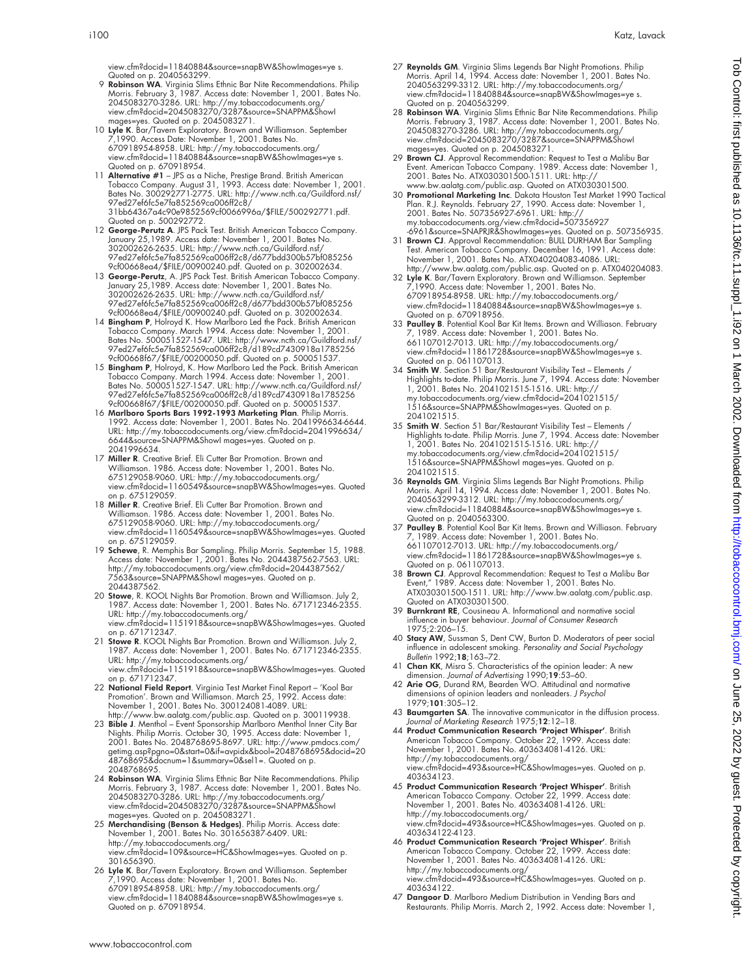view.cfm?docid=11840884&source=snapBW&ShowImages=ye s. Quoted on p. 2040563299.

- 9 Robinson WA. Virginia Slims Ethnic Bar Nite Recommendations. Philip Morris. February 3, 1987. Access date: November 1, 2001. Bates No.<br>2045083270-3286. URL: http://my.tobaccodocuments.org/<br>view.cfm?docid=2045083270/3287&source=SNAPPM&ShowI
- mages=yes. Quoted on p. 2045083271. 10 Lyle K. Bar/Tavern Exploratory. Brown and Williamson. September 7,1990. Access Date: November 1, 2001. Bates No. 670918954-8958. URL: http://my.tobaccodocuments.org/ view.cfm?docid=11840884&source=snapBW&ShowImages=ye s. Quoted on p. 670918954.
- 11 **Alternative #1** JPS as a Niche, Prestige Brand. British American<br>Tobacco Company. August 31, 1993. Access date: November 1, 2001.<br>Bates No. 300292771-2775. URL: http://www.ncth.ca/Guildford.nsf/<br>97ed27ef6fc5e7fa85256 31bb64367a4c90e9852569cf0066996a/\$FILE/500292771.pdf. Quoted on p. 500292772.
- 12 George-Perutz A. JPS Pack Test. British American Tobacco Company.<br>January 25,1989. Access date: November 1, 2001. Bates No.<br>302002626-2635. URL: http://www.ncth.ca/Guildford.nsf/<br>97ed27ef6fc5e7fa852569ca006ff2c8/d677bdd
- 9cf00668ea4/\$FILE/00900240.pdf. Quoted on p. 302002634. 13 George-Perutz, A. JPS Pack Test. British American Tobacco Company. January 25,1989. Access date: November 1, 2001. Bates No. 302002626-2635. URL: http://www.ncth.ca/Guildford.nsf/<br>97ed27ef6fc5e7fa852569ca006ff2c8/d677bdd300b57bf085256<br>9cf00668ea4/\$FILE/00900240.pdf. Quoted on p. 302002634.<br>14 **Bingham P**, Holroyd K. How Marlboro Led the Pack. Br
- Tobacco Company. March 1994. Access date: November 1, 2001. Bates No. 500051527-1547. URL: http://www.ncth.ca/Guildford.nsf/ 97ed27ef6fc5e7fa852569ca006ff2c8/d189cd7430918a1785256
- 9cf00668f67/\$FILE/00200050.pdf. Quoted on p. 500051537. 15 Bingham P, Holroyd, K. How Marlboro Led the Pack. British American Tobacco Company. March 1994. Access date: November 1, 2001. Bates No. 500051527-1547. URL: http://www.ncth.ca/Guildford.nsf/ 97ed27ef6fc5e7fa852569ca006ff2c8/d189cd7430918a1785256 9cf00668f67/\$FILE/00200050.pdf. Quoted on p. 500051537.
- 16 Marlboro Sports Bars 1992-1993 Marketing Plan. Philip Morris. 1992. Access date: November 1, 2001. Bates No. 2041996634-6644. URL: http://my.tobaccodocuments.org/view.cfm?docid=2041996634/ 6644&source=SNAPPM&ShowI mages=yes. Quoted on p. 2041996634.
- 17 Miller R. Creative Brief. Eli Cutter Bar Promotion. Brown and Williamson. 1986. Access date: November 1, 2001. Bates No. 675129058-9060. URL: http://my.tobaccodocuments.org/ view.cfm?docid=1160549&source=snapBW&ShowImages=yes. Quoted on p. 675129059.
- 18 Miller R. Creative Brief. Eli Cutter Bar Promotion. Brown and Williamson. 1986. Access date: November 1, 2001. Bates No. 675129058-9060. URL: http://my.tobaccodocuments.org/ view.cfm?docid=1160549&source=snapBW&ShowImages=yes. Quoted on p. 675129059.
- 19 Schewe, R. Memphis Bar Sampling. Philip Morris. September 15, 1988. Access date: November 1, 2001. Bates No. 2044387562-7563. URL: http://my.tobaccodocuments.org/view.cfm?docid=2044387562/ 7563&source=SNAPPM&ShowI mages=yes. Quoted on p. 2044387562.
- 20 Stowe, R. KOOL Nights Bar Promotion. Brown and Williamson. July 2 1987. Access date: November 1, 2001. Bates No. 671712346-2355.<br>URL: http://my.tobaccodocuments.org/ URL: http://my.tobaccodocuments.org/ view.cfm?docid=1151918&source=snapBW&ShowImages=yes. Quoted on p. 671712347.
- 21 Stowe R. KOOL Nights Bar Promotion. Brown and Williamson. July 2, 1987. Access date: November 1, 2001. Bates No. 671712346-2355. URL: http://my.tobaccodocuments.org/ view.cfm?docid=1151918&source=snapBW&ShowImages=yes. Quoted on p. 671712347.
- 22 National Field Report. Virginia Test Market Final Report 'Kool Bar Promotion'. Brown and Williamson. March 25, 1992. Access date: November 1, 2001. Bates No. 300124081-4089. URL: http://www.bw.aalatg.com/public.asp. Quoted on p. 300119938.
- 23 **Bible J**. Menthol Event Sponsorship Marlboro Menthol Inner City Bar<br>Nights. Philip Morris. October 30, 1995. Access date: November 1,<br>2001. Bates No. 2048768695-8697. URL: http://www.pmdos.com/<br>getimg.asp?pgno=0&star 48768695&docnum=1&summary=0&sel1=. Quoted on p. 2048768695.
- 24 Robinson WA. Virginia Slims Ethnic Bar Nite Recommendations. Philip Morris. February 3, 1987. Access date: November 1, 2001. Bates No.<br>2045083270-3286. URL: http://my.tobaccodocuments.org/<br>view.cfm?docid=2045083270/3287&source=SNAPPM&ShowI
- mages=yes. Quoted on p. 2045083271.<br>25 **Merchandising (Benson & Hedges)**. Philip Morris. Access date:<br>November 1, 2001. Bates No. 301656387-6409. URL: http://my.tobaccodocuments.org/ view.cfm?docid=109&source=HC&ShowImages=yes. Quoted on p. 301656390.
- 26 **Lyle K.** Bar/Tavern Exploratory. Brown and Williamson. September<br>7,1990. Access date: November 1, 2001. Bates No.<br>670918954-8958. URL: http://my.tobaccodocuments.org/<br>view.cfm?docid=11840884&source=snapBW&ShowImages=ye Quoted on p. 670918954.
- 27 **Reynolds GM**. Virginia Slims Legends Bar Night Promotions. Philip<br>Morris. April 14, 1994. Access date: November 1, 2001. Bates No.<br>2040563299-3312. URL: http://my.tobaccodocuments.org/ view.cfm?docid=11840884&source=snapBW&ShowImages=ye s. Quoted on p. 2040563299.
- 28 **Robinson WA**. Virginia Slims Ethnic Bar Nite Recommendations. Philip<br>Morris. February 3, 1987. Access date: November 1, 2001. Bates No.<br>2045083270-3286. URL: http://my.tobaccodocuments.org/<br>view.cfm?docid=2045083270/32
- mages=yes. Quoted on p. 2045083271.<br>29 **Brown CJ**. Approval Recommendation: Request to Test a Malibu Bar<br>Event. American Tobacco Company. 1989. Access date: November 1,<br>2001. Bates No. ATX030301500-1511. URL: http:// www.bw.aalatg.com/public.asp. Quoted on ATX030301500.
- 30 Promotional Marketing Inc. Dakota Houston Test Market 1990 Tactical Plan. R.J. Reynolds. February 27, 1990. Access date: November 1,<br>2001. Bates No. 507356927-6961. URL: http://<br>my.tobaccodocuments.org/view.cfm?docid=507356927<br>-6961&source=SNAPRIR&ShowImages=yes. Quoted on p. 507356935.<br>31
- Test. American Tobacco Company. December 16, 1991. Access date: November 1, 2001. Bates No. ATX040204083-4086. URL: http://www.bw.aalatg.com/public.asp. Quoted on p. ATX040204083.
- 32 Lyle K. Bar/Tavern Exploratory. Brown and Williamson. September 7,1990. Access date: November 1, 2001. Bates No. 670918954-8958. URL: http://my.tobaccodocuments.org/ view.cfm?docid=11840884&source=snapBW&ShowImages=ye s. Quoted on p. 670918956.
- 33 Paulley B. Potential Kool Bar Kit Items. Brown and Williason. February 7, 1989. Access date: November 1, 2001. Bates No. 661107012-7013. URL: http://my.tobaccodocuments.org/ view.cfm?docid=11861728&source=snapBW&ShowImages=ye s. Quoted on p. 061107013.
- 34 Smith W. Section 51 Bar/Restaurant Visibility Test Elements / Highlights to-date. Philip Morris. June 7, 1994. Access date: November 1, 2001. Bates No. 2041021515-1516. URL: http:// my.tobaccodocuments.org/view.cfm?docid=2041021515/ 1516&source=SNAPPM&ShowImages=yes. Quoted on p. 2041021515.
- 35 Smith W. Section 51 Bar/Restaurant Visibility Test Elements / Highlights to-date. Philip Morris. June 7, 1994. Access date: November 1, 2001. Bates No. 2041021515-1516. URL: http:// my.tobaccodocuments.org/view.cfm?docid=2041021515/ 1516&source=SNAPPM&ShowI mages=yes. Quoted on p. 2041021515.
- 36 Reynolds GM. Virginia Slims Legends Bar Night Promotions. Philip Morris. April 14, 1994. Access date: November 1, 2001. Bates No. 2040563299-3312. URL: http://my.tobaccodocuments.org/ view.cfm?docid=11840884&source=snapBW&ShowImages=ye s.
- Quoted on p. 2040563300.<br>37 Paulley B. Potential Kool Bar Kit Items. Brown and Williason. February 7, 1989. Access date: November 1, 2001. Bates No. 661107012-7013. URL: http://my.tobaccodocuments.org/ view.cfm?docid=11861728&source=snapBW&ShowImages=ye s. Quoted on p. 061107013.
- 38 Brown CJ. Approval Recommendation: Request to Test a Malibu Bar Event," 1989. Access date: November 1, 2001. Bates No. ATX030301500-1511. URL: http://www.bw.aalatg.com/public.asp. Quoted on ATX030301500.
- 39 Burnkrant RE, Cousineau A. Informational and normative social influence in buyer behaviour. Journal of Consumer Research 1975;2:206–15.
- 40 Stacy AW, Sussman S, Dent CW, Burton D. Moderators of peer social influence in adolescent smoking. Personality and Social Psychology Bulletin 1992;18;163-72.
- 41 Chan KK, Misra S. Characteristics of the opinion leader: A new dimension. Journal of Advertising 1990;19:53–60. 42 Arie OG, Durand RM, Bearden WO. Attitudinal and normative
- dimensions of opinion leaders and nonleaders. J Psychol 1979;101:305–12.
- 43 Baumgarten SA. The innovative communicator in the diffusion process. Journal of Marketing Research 1975;12:12–18.
- 44 Product Communication Research 'Project Whisper'. British American Tobacco Company. October 22, 1999. Access date:<br>November 1, 2001. Bates No. 403634081-4126. URL:<br>http://my.tobaccodocuments.org/<br>view.cfm?docid=493&source=HC&ShowImages=yes. Quoted on p. 403634123.
- 45 Product Communication Research 'Project Whisper'. British American Tobacco Company. October 22, 1999. Access date: November 1, 2001. Bates No. 403634081-4126. URL: http://my.tobaccodocuments.org/ view.cfm?docid=493&source=HC&ShowImages=yes. Quoted on p. 403634122-4123.
- 46 Product Communication Research 'Project Whisper'. British American Tobacco Company. October 22, 1999. Access date:<br>November 1, 2001. Bates No. 403634081-4126. URL:<br>http://my.tobaccodocuments.org/<br>view.cfm?docid=493&source=HC&ShowImages=yes. Quoted on p. 403634122.
- 47 Dangoor D. Marlboro Medium Distribution in Vending Bars and Restaurants. Philip Morris. March 2, 1992. Access date: November 1,